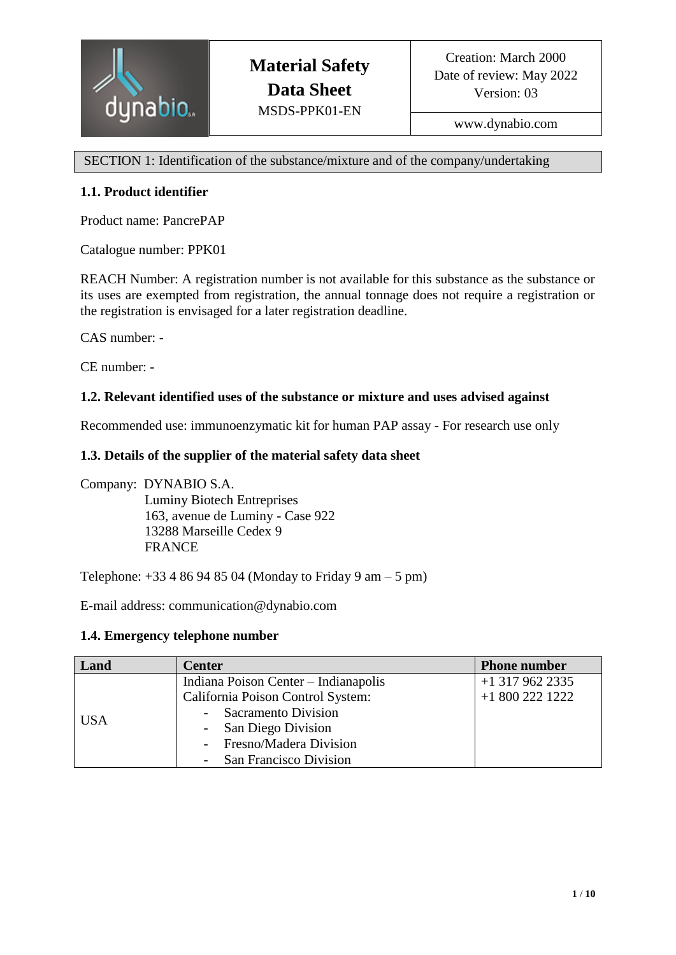

www.dynabio.com

SECTION 1: Identification of the substance/mixture and of the company/undertaking

# **1.1. Product identifier**

Product name: PancrePAP

Catalogue number: PPK01

REACH Number: A registration number is not available for this substance as the substance or its uses are exempted from registration, the annual tonnage does not require a registration or the registration is envisaged for a later registration deadline.

CAS number: -

CE number: -

# **1.2. Relevant identified uses of the substance or mixture and uses advised against**

Recommended use: immunoenzymatic kit for human PAP assay - For research use only

### **1.3. Details of the supplier of the material safety data sheet**

Company: DYNABIO S.A. Luminy Biotech Entreprises 163, avenue de Luminy - Case 922 13288 Marseille Cedex 9 FRANCE

Telephone:  $+33486948504$  (Monday to Friday 9 am – 5 pm)

E-mail address: communication@dynabio.com

#### **1.4. Emergency telephone number**

| Land       | <b>Center</b>                        | <b>Phone number</b> |
|------------|--------------------------------------|---------------------|
|            | Indiana Poison Center - Indianapolis | $+1$ 317 962 2335   |
| <b>USA</b> | California Poison Control System:    | +1 800 222 1222     |
|            | - Sacramento Division                |                     |
|            | - San Diego Division                 |                     |
|            | - Fresno/Madera Division             |                     |
|            | - San Francisco Division             |                     |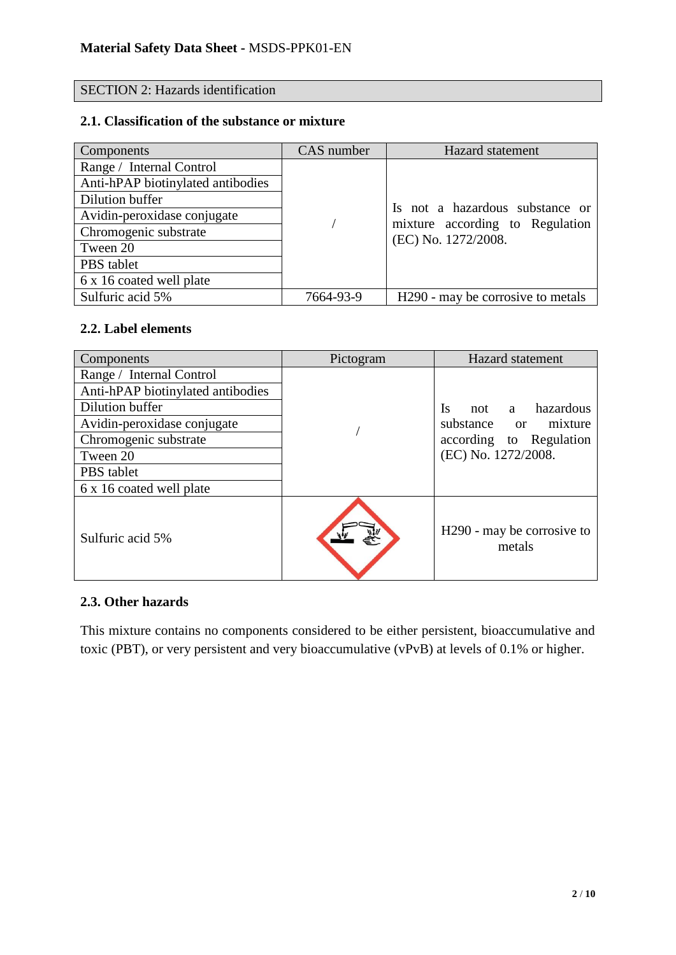# SECTION 2: Hazards identification

# **2.1. Classification of the substance or mixture**

| Components                        | CAS number | Hazard statement                                       |
|-----------------------------------|------------|--------------------------------------------------------|
| Range / Internal Control          |            |                                                        |
| Anti-hPAP biotinylated antibodies |            |                                                        |
| Dilution buffer                   |            |                                                        |
| Avidin-peroxidase conjugate       |            | Is not a hazardous substance or                        |
| Chromogenic substrate             |            | mixture according to Regulation<br>(EC) No. 1272/2008. |
| Tween 20                          |            |                                                        |
| PBS tablet                        |            |                                                        |
| 6 x 16 coated well plate          |            |                                                        |
| Sulfuric acid 5%                  | 7664-93-9  | H <sub>290</sub> - may be corrosive to metals          |

#### **2.2. Label elements**

| Components                        | Pictogram | Hazard statement                                 |  |
|-----------------------------------|-----------|--------------------------------------------------|--|
| Range / Internal Control          |           |                                                  |  |
| Anti-hPAP biotinylated antibodies |           |                                                  |  |
| Dilution buffer                   |           | a hazardous<br>Is<br>not                         |  |
| Avidin-peroxidase conjugate       |           | substance or mixture                             |  |
| Chromogenic substrate             |           | according to Regulation                          |  |
| Tween 20                          |           | (EC) No. 1272/2008.                              |  |
| PBS tablet                        |           |                                                  |  |
| 6 x 16 coated well plate          |           |                                                  |  |
| Sulfuric acid 5%                  |           | H <sub>290</sub> - may be corrosive to<br>metals |  |

# **2.3. Other hazards**

This mixture contains no components considered to be either persistent, bioaccumulative and toxic (PBT), or very persistent and very bioaccumulative (vPvB) at levels of 0.1% or higher.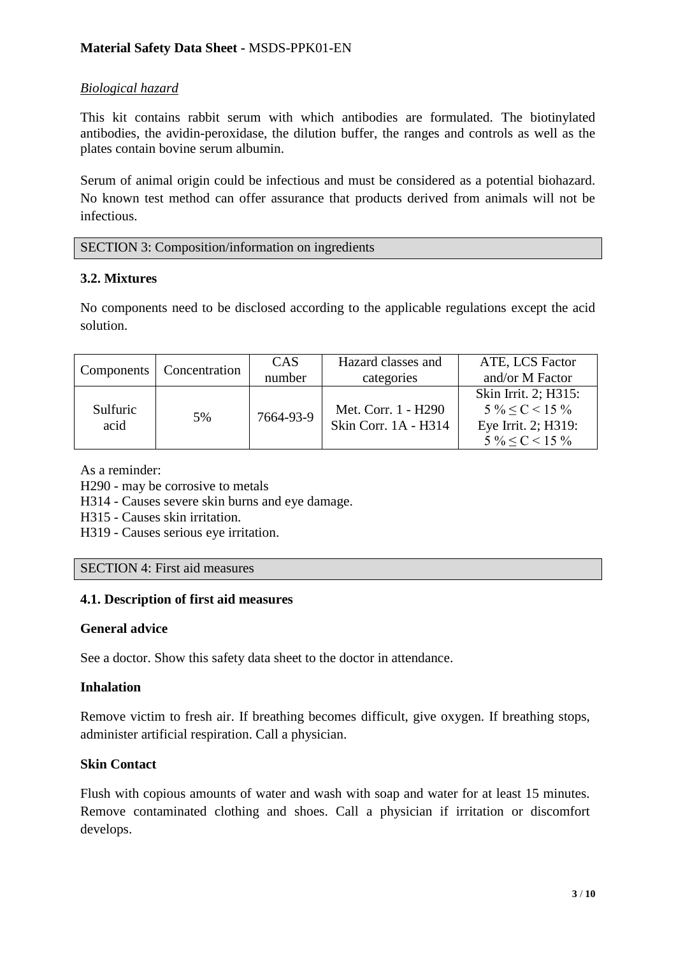# *Biological hazard*

This kit contains rabbit serum with which antibodies are formulated. The biotinylated antibodies, the avidin-peroxidase, the dilution buffer, the ranges and controls as well as the plates contain bovine serum albumin.

Serum of animal origin could be infectious and must be considered as a potential biohazard. No known test method can offer assurance that products derived from animals will not be infectious.

SECTION 3: Composition/information on ingredients

### **3.2. Mixtures**

No components need to be disclosed according to the applicable regulations except the acid solution.

|                  | Components   Concentration | CAS       | Hazard classes and   | ATE, LCS Factor        |
|------------------|----------------------------|-----------|----------------------|------------------------|
|                  |                            | number    | categories           | and/or M Factor        |
|                  |                            |           |                      | Skin Irrit. 2; H315:   |
| Sulfuric<br>acid | 5%                         | 7664-93-9 | Met. Corr. 1 - H290  | $5\% < C < 15\%$       |
|                  |                            |           | Skin Corr. 1A - H314 | Eye Irrit. 2; H319:    |
|                  |                            |           |                      | $5\% \leq C \leq 15\%$ |

As a reminder:

H290 - may be corrosive to metals

H314 - Causes severe skin burns and eye damage.

H315 - Causes skin irritation.

H319 - Causes serious eye irritation.

SECTION 4: First aid measures

#### **4.1. Description of first aid measures**

#### **General advice**

See a doctor. Show this safety data sheet to the doctor in attendance.

#### **Inhalation**

Remove victim to fresh air. If breathing becomes difficult, give oxygen. If breathing stops, administer artificial respiration. Call a physician.

#### **Skin Contact**

Flush with copious amounts of water and wash with soap and water for at least 15 minutes. Remove contaminated clothing and shoes. Call a physician if irritation or discomfort develops.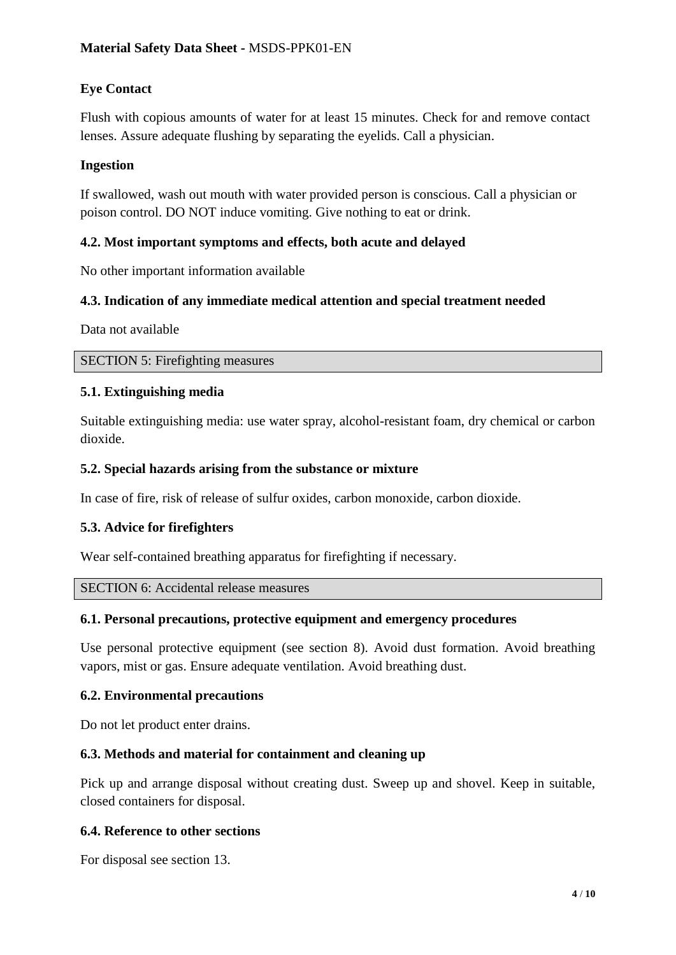# **Eye Contact**

Flush with copious amounts of water for at least 15 minutes. Check for and remove contact lenses. Assure adequate flushing by separating the eyelids. Call a physician.

# **Ingestion**

If swallowed, wash out mouth with water provided person is conscious. Call a physician or poison control. DO NOT induce vomiting. Give nothing to eat or drink.

# **4.2. Most important symptoms and effects, both acute and delayed**

No other important information available

# **4.3. Indication of any immediate medical attention and special treatment needed**

Data not available

### SECTION 5: Firefighting measures

### **5.1. Extinguishing media**

Suitable extinguishing media: use water spray, alcohol-resistant foam, dry chemical or carbon dioxide.

### **5.2. Special hazards arising from the substance or mixture**

In case of fire, risk of release of sulfur oxides, carbon monoxide, carbon dioxide.

# **5.3. Advice for firefighters**

Wear self-contained breathing apparatus for firefighting if necessary.

#### SECTION 6: Accidental release measures

#### **6.1. Personal precautions, protective equipment and emergency procedures**

Use personal protective equipment (see section 8). Avoid dust formation. Avoid breathing vapors, mist or gas. Ensure adequate ventilation. Avoid breathing dust.

#### **6.2. Environmental precautions**

Do not let product enter drains.

# **6.3. Methods and material for containment and cleaning up**

Pick up and arrange disposal without creating dust. Sweep up and shovel. Keep in suitable, closed containers for disposal.

# **6.4. Reference to other sections**

For disposal see section 13.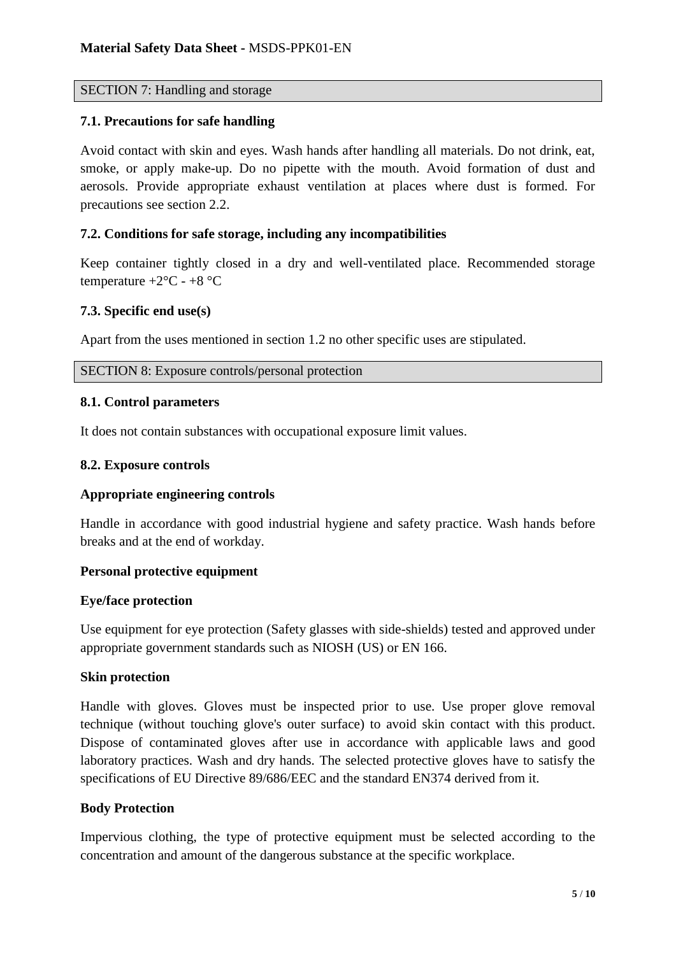### SECTION 7: Handling and storage

#### **7.1. Precautions for safe handling**

Avoid contact with skin and eyes. Wash hands after handling all materials. Do not drink, eat, smoke, or apply make-up. Do no pipette with the mouth. Avoid formation of dust and aerosols. Provide appropriate exhaust ventilation at places where dust is formed. For precautions see section 2.2.

### **7.2. Conditions for safe storage, including any incompatibilities**

Keep container tightly closed in a dry and well-ventilated place. Recommended storage temperature  $+2$ °C -  $+8$ °C

### **7.3. Specific end use(s)**

Apart from the uses mentioned in section 1.2 no other specific uses are stipulated.

SECTION 8: Exposure controls/personal protection

#### **8.1. Control parameters**

It does not contain substances with occupational exposure limit values.

#### **8.2. Exposure controls**

#### **Appropriate engineering controls**

Handle in accordance with good industrial hygiene and safety practice. Wash hands before breaks and at the end of workday.

# **Personal protective equipment**

#### **Eye/face protection**

Use equipment for eye protection (Safety glasses with side-shields) tested and approved under appropriate government standards such as NIOSH (US) or EN 166.

#### **Skin protection**

Handle with gloves. Gloves must be inspected prior to use. Use proper glove removal technique (without touching glove's outer surface) to avoid skin contact with this product. Dispose of contaminated gloves after use in accordance with applicable laws and good laboratory practices. Wash and dry hands. The selected protective gloves have to satisfy the specifications of EU Directive 89/686/EEC and the standard EN374 derived from it.

#### **Body Protection**

Impervious clothing, the type of protective equipment must be selected according to the concentration and amount of the dangerous substance at the specific workplace.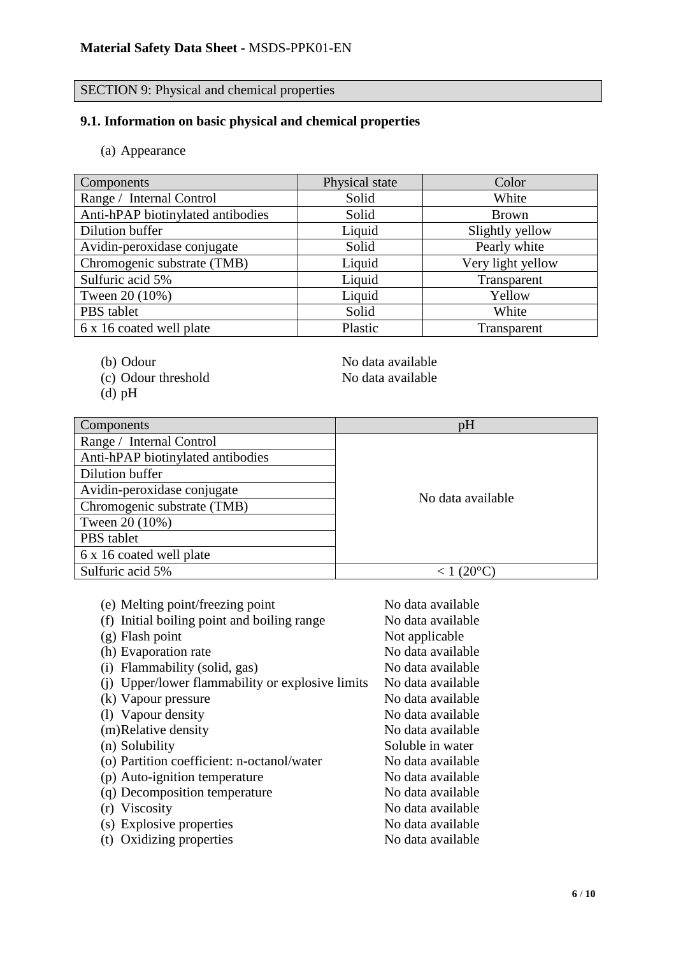# SECTION 9: Physical and chemical properties

# **9.1. Information on basic physical and chemical properties**

(a) Appearance

| <b>Components</b>                 | Physical state | Color             |
|-----------------------------------|----------------|-------------------|
| Range / Internal Control          | Solid          | White             |
| Anti-hPAP biotinylated antibodies | Solid          | <b>Brown</b>      |
| Dilution buffer                   | Liquid         | Slightly yellow   |
| Avidin-peroxidase conjugate       | Solid          | Pearly white      |
| Chromogenic substrate (TMB)       | Liquid         | Very light yellow |
| Sulfuric acid 5%                  | Liquid         | Transparent       |
| Tween 20 (10%)                    | Liquid         | Yellow            |
| PBS tablet                        | Solid          | White             |
| 6 x 16 coated well plate          | Plastic        | Transparent       |

- 
- (c) Odour threshold No data available
- (d) pH

(b) Odour No data available

| Components                        | pH                |
|-----------------------------------|-------------------|
| Range / Internal Control          |                   |
| Anti-hPAP biotinylated antibodies |                   |
| Dilution buffer                   |                   |
| Avidin-peroxidase conjugate       |                   |
| Chromogenic substrate (TMB)       | No data available |
| Tween 20 (10%)                    |                   |
| PBS tablet                        |                   |
| 6 x 16 coated well plate          |                   |
| Sulfuric acid 5%                  |                   |

| (e) Melting point/freezing point                 | No data available |
|--------------------------------------------------|-------------------|
|                                                  |                   |
| (f) Initial boiling point and boiling range      | No data available |
| $(g)$ Flash point                                | Not applicable    |
| (h) Evaporation rate                             | No data available |
| (i) Flammability (solid, gas)                    | No data available |
| (i) Upper/lower flammability or explosive limits | No data available |
| (k) Vapour pressure                              | No data available |
| (1) Vapour density                               | No data available |
| (m)Relative density                              | No data available |
| (n) Solubility                                   | Soluble in water  |
| (o) Partition coefficient: n-octanol/water       | No data available |
| (p) Auto-ignition temperature                    | No data available |
| (q) Decomposition temperature                    | No data available |
| (r) Viscosity                                    | No data available |
| (s) Explosive properties                         | No data available |
| (t) Oxidizing properties                         | No data available |
|                                                  |                   |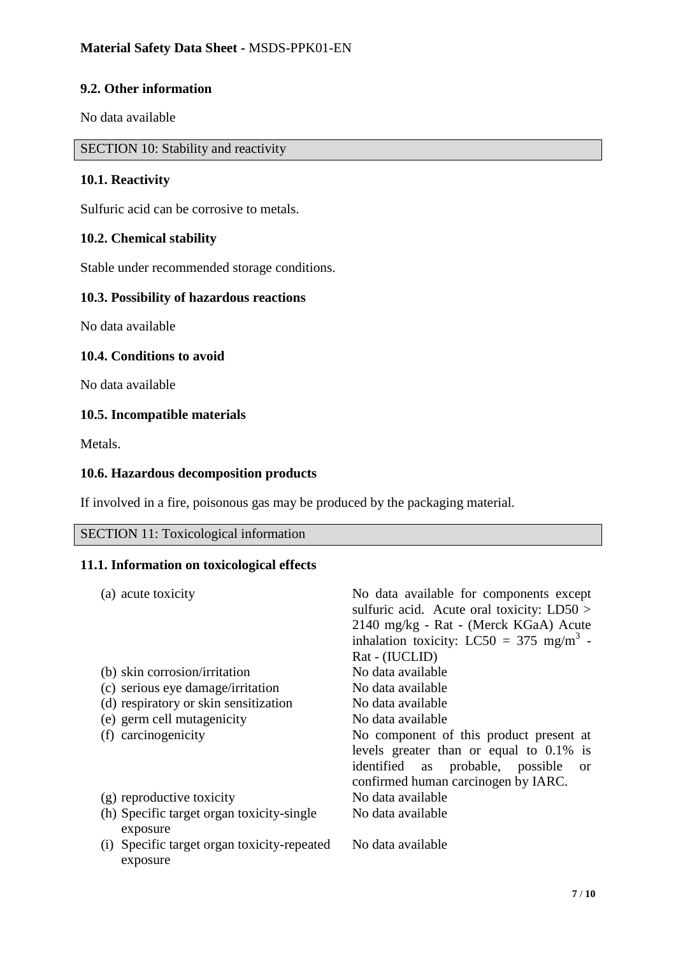# **9.2. Other information**

No data available

SECTION 10: Stability and reactivity

### **10.1. Reactivity**

Sulfuric acid can be corrosive to metals.

## **10.2. Chemical stability**

Stable under recommended storage conditions.

## **10.3. Possibility of hazardous reactions**

No data available

#### **10.4. Conditions to avoid**

No data available

### **10.5. Incompatible materials**

Metals.

#### **10.6. Hazardous decomposition products**

If involved in a fire, poisonous gas may be produced by the packaging material.

# SECTION 11: Toxicological information

## **11.1. Information on toxicological effects**

| (a) acute toxicity                          | No data available for components except              |
|---------------------------------------------|------------------------------------------------------|
|                                             | sulfuric acid. Acute oral toxicity: $LD50 >$         |
|                                             | 2140 mg/kg - Rat - (Merck KGaA) Acute                |
|                                             | inhalation toxicity: LC50 = 375 mg/m <sup>3</sup> -  |
|                                             | Rat - (IUCLID)                                       |
| (b) skin corrosion/irritation               | No data available                                    |
| (c) serious eye damage/irritation           | No data available                                    |
| (d) respiratory or skin sensitization       | No data available                                    |
| (e) germ cell mutagenicity                  | No data available                                    |
| (f) carcinogenicity                         | No component of this product present at              |
|                                             | levels greater than or equal to $0.1\%$ is           |
|                                             | identified<br>as probable, possible<br><sub>or</sub> |
|                                             | confirmed human carcinogen by IARC.                  |
| (g) reproductive toxicity                   | No data available                                    |
| (h) Specific target organ toxicity-single   | No data available                                    |
| exposure                                    |                                                      |
| (i) Specific target organ toxicity-repeated | No data available                                    |
| exposure                                    |                                                      |
|                                             |                                                      |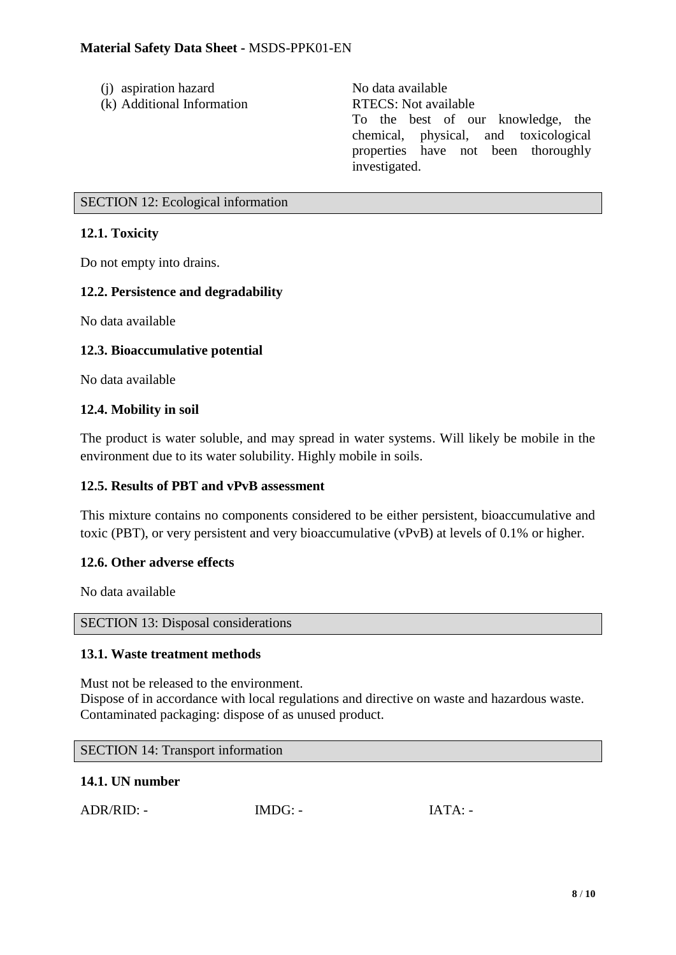- (i) aspiration hazard No data available
- (k) Additional Information RTECS: Not available

To the best of our knowledge, the chemical, physical, and toxicological properties have not been thoroughly investigated.

## SECTION 12: Ecological information

# **12.1. Toxicity**

Do not empty into drains.

# **12.2. Persistence and degradability**

No data available

# **12.3. Bioaccumulative potential**

No data available

# **12.4. Mobility in soil**

The product is water soluble, and may spread in water systems. Will likely be mobile in the environment due to its water solubility. Highly mobile in soils.

# **12.5. Results of PBT and vPvB assessment**

This mixture contains no components considered to be either persistent, bioaccumulative and toxic (PBT), or very persistent and very bioaccumulative (vPvB) at levels of 0.1% or higher.

#### **12.6. Other adverse effects**

No data available

#### SECTION 13: Disposal considerations

#### **13.1. Waste treatment methods**

Must not be released to the environment. Dispose of in accordance with local regulations and directive on waste and hazardous waste. Contaminated packaging: dispose of as unused product.

#### SECTION 14: Transport information

#### **14.1. UN number**

|  | ADR/RID: - | $IMDG: -$ | IATA: |  |
|--|------------|-----------|-------|--|
|--|------------|-----------|-------|--|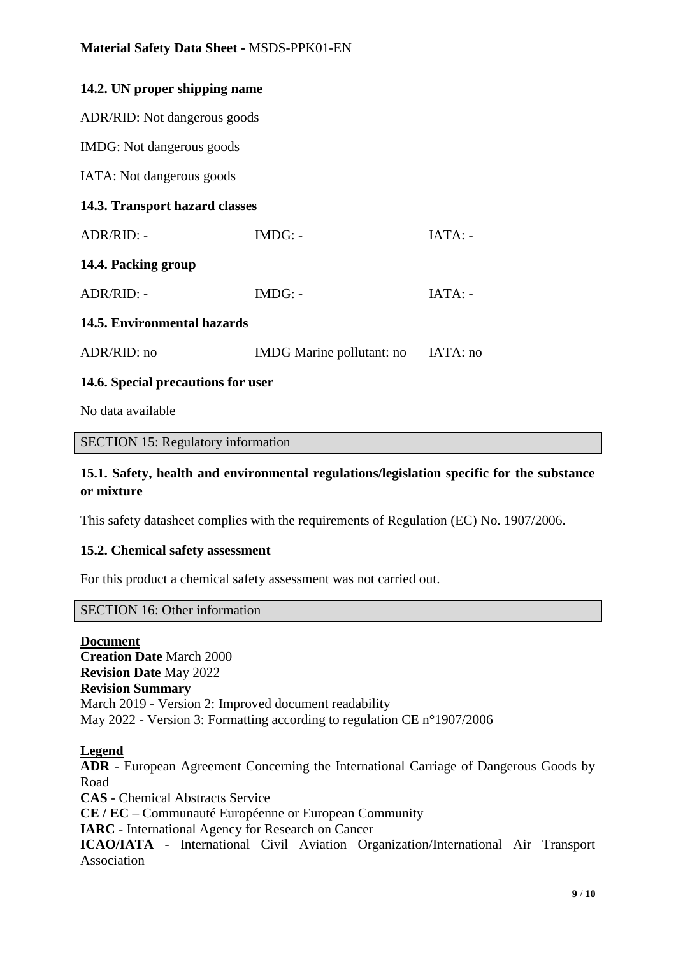| 14.2. UN proper shipping name      |                           |           |  |  |
|------------------------------------|---------------------------|-----------|--|--|
| ADR/RID: Not dangerous goods       |                           |           |  |  |
| IMDG: Not dangerous goods          |                           |           |  |  |
| IATA: Not dangerous goods          |                           |           |  |  |
| 14.3. Transport hazard classes     |                           |           |  |  |
| ADR/RID: -                         | $IMDG: -$                 | $IATA: -$ |  |  |
| 14.4. Packing group                |                           |           |  |  |
| ADR/RID: -                         | $IMDG: -$                 | $IATA: -$ |  |  |
| 14.5. Environmental hazards        |                           |           |  |  |
| ADR/RID: no                        | IMDG Marine pollutant: no | IATA: no  |  |  |
| 14.6. Special precautions for user |                           |           |  |  |

No data available

#### SECTION 15: Regulatory information

# **15.1. Safety, health and environmental regulations/legislation specific for the substance or mixture**

This safety datasheet complies with the requirements of Regulation (EC) No. 1907/2006.

#### **15.2. Chemical safety assessment**

For this product a chemical safety assessment was not carried out.

#### SECTION 16: Other information

**Document Creation Date** March 2000 **Revision Date** May 2022 **Revision Summary** March 2019 - Version 2: Improved document readability May 2022 - Version 3: Formatting according to regulation CE n°1907/2006

#### **Legend**

**ADR** - European Agreement Concerning the International Carriage of Dangerous Goods by Road **CAS** - Chemical Abstracts Service **CE / EC** – Communauté Européenne or European Community **IARC** - International Agency for Research on Cancer **ICAO/IATA** - International Civil Aviation Organization/International Air Transport Association